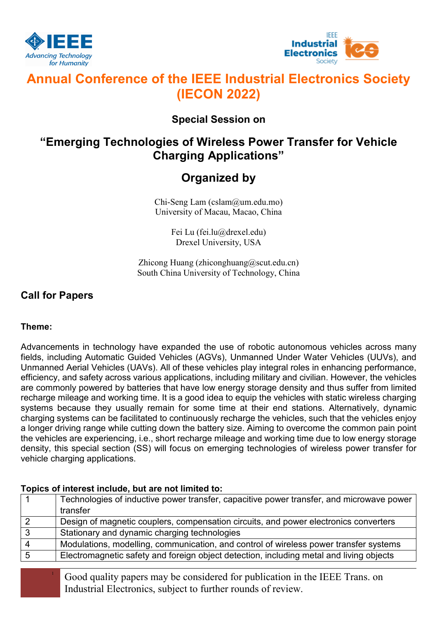



# Annual Conference of the IEEE Industrial Electronics Society (IECON 2022)

### Special Session on

## "Emerging Technologies of Wireless Power Transfer for Vehicle Charging Applications"

# Organized by

Chi-Seng Lam (cslam@um.edu.mo) University of Macau, Macao, China

> Fei Lu (fei.lu@drexel.edu) Drexel University, USA

Zhicong Huang (zhiconghuang@scut.edu.cn) South China University of Technology, China

### Call for Papers

### Theme:

Advancements in technology have expanded the use of robotic autonomous vehicles across many fields, including Automatic Guided Vehicles (AGVs), Unmanned Under Water Vehicles (UUVs), and Unmanned Aerial Vehicles (UAVs). All of these vehicles play integral roles in enhancing performance, efficiency, and safety across various applications, including military and civilian. However, the vehicles are commonly powered by batteries that have low energy storage density and thus suffer from limited recharge mileage and working time. It is a good idea to equip the vehicles with static wireless charging systems because they usually remain for some time at their end stations. Alternatively, dynamic charging systems can be facilitated to continuously recharge the vehicles, such that the vehicles enjoy a longer driving range while cutting down the battery size. Aiming to overcome the common pain point the vehicles are experiencing, i.e., short recharge mileage and working time due to low energy storage density, this special section (SS) will focus on emerging technologies of wireless power transfer for vehicle charging applications.

### Topics of interest include, but are not limited to:

|                | Technologies of inductive power transfer, capacitive power transfer, and microwave power |
|----------------|------------------------------------------------------------------------------------------|
|                | transfer                                                                                 |
|                | Design of magnetic couplers, compensation circuits, and power electronics converters     |
| $\Omega$       | Stationary and dynamic charging technologies                                             |
| $\overline{4}$ | Modulations, modelling, communication, and control of wireless power transfer systems    |
|                | Electromagnetic safety and foreign object detection, including metal and living objects  |

<sup>1</sup> Good quality papers may be considered for publication in the IEEE Trans. on Industrial Electronics, subject to further rounds of review.